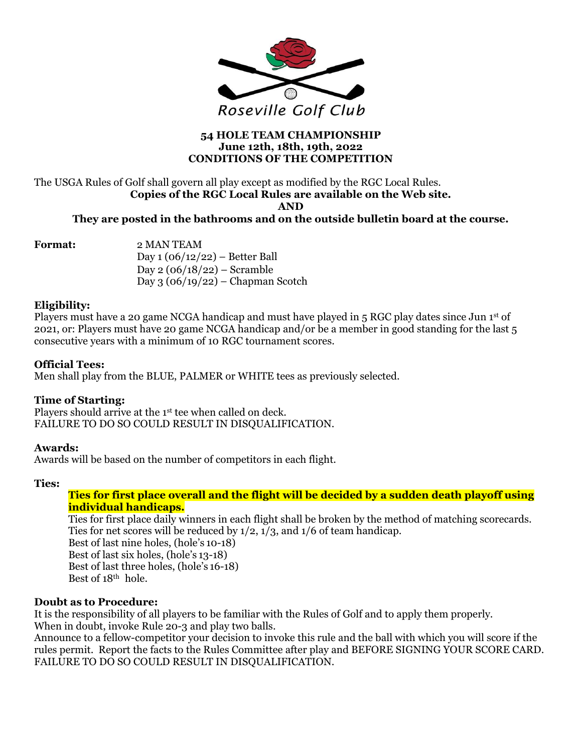

#### **54 HOLE TEAM CHAMPIONSHIP June 12th, 18th, 19th, 2022 CONDITIONS OF THE COMPETITION**

#### The USGA Rules of Golf shall govern all play except as modified by the RGC Local Rules. **Copies of the RGC Local Rules are available on the Web site. AND**

#### **They are posted in the bathrooms and on the outside bulletin board at the course.**

**Format:** 2 MAN TEAM

Day  $1(06/12/22)$  – Better Ball Day  $2(06/18/22)$  – Scramble Day 3 (06/19/22) – Chapman Scotch

#### **Eligibility:**

Players must have a 20 game NCGA handicap and must have played in 5 RGC play dates since Jun 1st of 2021, or: Players must have 20 game NCGA handicap and/or be a member in good standing for the last 5 consecutive years with a minimum of 10 RGC tournament scores.

#### **Official Tees:**

Men shall play from the BLUE, PALMER or WHITE tees as previously selected.

#### **Time of Starting:**

Players should arrive at the 1st tee when called on deck. FAILURE TO DO SO COULD RESULT IN DISQUALIFICATION.

#### **Awards:**

Awards will be based on the number of competitors in each flight.

#### **Ties:**

#### **Ties for first place overall and the flight will be decided by a sudden death playoff using individual handicaps.**

Ties for first place daily winners in each flight shall be broken by the method of matching scorecards. Ties for net scores will be reduced by 1/2, 1/3, and 1/6 of team handicap. Best of last nine holes, (hole's 10-18) Best of last six holes, (hole's 13-18) Best of last three holes, (hole's 16-18) Best of 18<sup>th</sup> hole.

#### **Doubt as to Procedure:**

It is the responsibility of all players to be familiar with the Rules of Golf and to apply them properly. When in doubt, invoke Rule 20-3 and play two balls.

Announce to a fellow-competitor your decision to invoke this rule and the ball with which you will score if the rules permit. Report the facts to the Rules Committee after play and BEFORE SIGNING YOUR SCORE CARD. FAILURE TO DO SO COULD RESULT IN DISQUALIFICATION.